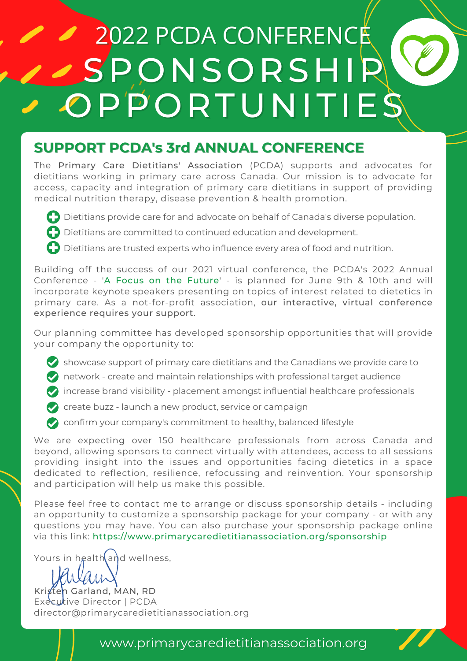# 2022 PCDA CONFERENCE SPONSORSHIF OPPORTUNITIES

#### [www.primarycaredietitianassociation.org](http://www.primarycaredietitianassociation.org/)

The Primary Care Dietitians' Association (PCDA) supports and advocates for dietitians working in primary care across Canada. Our mission is to advocate for access, capacity and integration of primary care dietitians in support of providing medical nutrition therapy, disease prevention & health promotion.



Building off the success of our 2021 virtual conference, the PCDA's 2022 Annual Conference - 'A Focus on the Future' - is planned for June 9th & 10th and will incorporate keynote speakers presenting on topics of interest related to dietetics in primary care. As a not-for-profit association, our interactive, virtual conference experience requires your support.

Our planning committee has developed sponsorship opportunities that will provide your company the opportunity to:

- showcase support of primary care dietitians and the Canadians we provide care to
	- network create and maintain relationships with professional target audience
	- increase brand visibility placement amongst influential healthcare professionals
- create buzz launch a new product, service or campaign **K**
- confirm your company's commitment to healthy, balanced lifestyle  $\bullet$

We are expecting over 150 healthcare professionals from across Canada and beyond, allowing sponsors to connect virtually with attendees, access to all sessions providing insight into the issues and opportunities facing dietetics in a space dedicated to reflection, resilience, refocussing and reinvention. Your sponsorship and participation will help us make this possible.

Please feel free to contact me to arrange or discuss sponsorship details - including an opportunity to customize a sponsorship package for your company - or with any questions you may have. You can also purchase your sponsorship package online via this link: https://www.primarycaredietitianassociation.org/sponsorship

Yours in health and wellness,

Kristen Garland, MAN, RD Executive Director | PCDA director@primarycaredietitianassociation.org

Dietitians are trusted experts who influence every area of food and nutrition.

### **SUPPORT PCDA's 3rd ANNUAL CONFERENCE**

Dietitians provide care for and advocate on behalf of Canada's diverse population.

Dietitians are committed to continued education and development.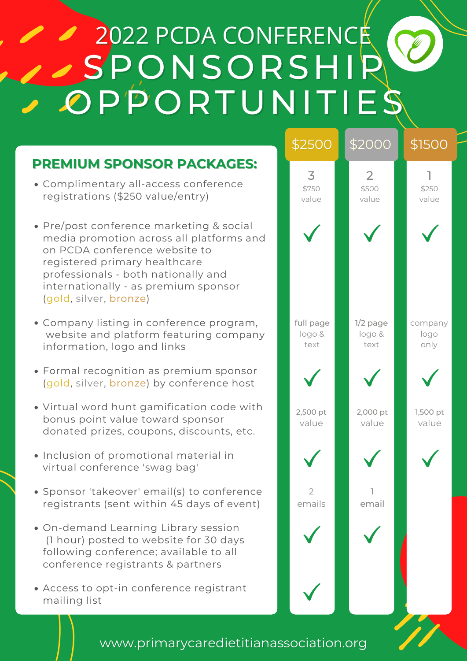# 2022 PCDA CONFERENCE SPONSORSHIR OPPORTUNITIES

[www.primarycaredietitianassociation.org](http://www.primarycaredietitianassociation.org/)

- Complimentary all-access conference registrations (\$250 value/entry)
- Pre/post conference marketing & social media promotion across all platforms and on PCDA conference website to registered primary healthcare professionals - both nationally and internationally - as premium sponsor (gold, silver, bronze)
- Company listing in conference program, website and platform featuring company information, logo and links



- Formal recognition as premium sponsor (gold, silver, bronze) by conference host
- Virtual word hunt gamification code with bonus point value toward sponsor donated prizes, coupons, discounts, etc.
- Inclusion of promotional material in virtual conference 'swag bag'
- Sponsor 'takeover' email(s) to conference registrants (sent within 45 days of event)
- On-demand Learning Library session (1 hour) posted to website for 30 days following conference; available to all conference registrants & partners
- Access to opt-in conference registrant mailing list

#### **PREMIUM SPONSOR PACKAGES:**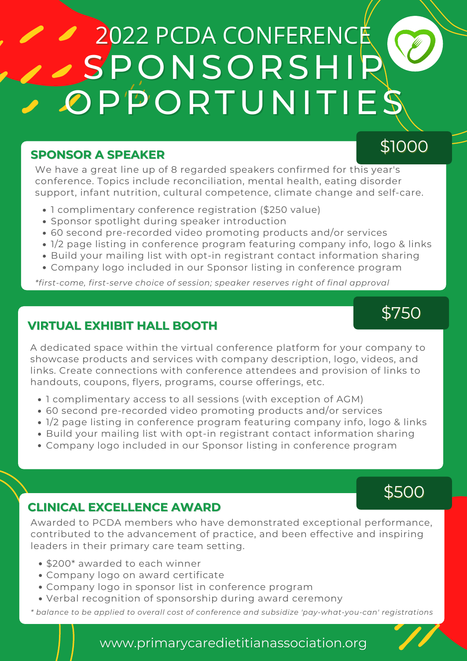# 2022 PCDA CONFERENCE SPONSORSHIR OPPORTUNITIES

#### [www.primarycaredietitianassociation.org](http://www.primarycaredietitianassociation.org/)

#### **SPONSOR A SPEAKER**

- 1 complimentary conference registration (\$250 value)
- Sponsor spotlight during speaker introduction
- 60 second pre-recorded video promoting products and/or services
- 1/2 page listing in conference program featuring company info, logo & links
- Build your mailing list with opt-in registrant contact information sharing
- Company logo included in our Sponsor listing in conference program

- \$200\* awarded to each winner
- Company logo on award certificate
- Company logo in sponsor list in conference program
- Verbal recognition of sponsorship during award ceremony

We have a great line up of 8 regarded speakers confirmed for this year's conference. Topics include reconciliation, mental health, eating disorder support, infant nutrition, cultural competence, climate change and self-care.

*\*first-come, first-serve choice of session; speaker reserves right of final approval*

### \$1000

\$750

#### **CLINICAL EXCELLENCE AWARD**

Awarded to PCDA members who have demonstrated exceptional performance, contributed to the advancement of practice, and been effective and inspiring leaders in their primary care team setting.

*\* balance to be applied to overall cost of conference and subsidize 'pay-what-you-can' registrations*

\$500

#### **VIRTUAL EXHIBIT HALL BOOTH**

- 1 complimentary access to all sessions (with exception of AGM)
- 60 second pre-recorded video promoting products and/or services
- 1/2 page listing in conference program featuring company info, logo & links
- Build your mailing list with opt-in registrant contact information sharing
- Company logo included in our Sponsor listing in conference program

A dedicated space within the virtual conference platform for your company to

showcase products and services with company description, logo, videos, and links. Create connections with conference attendees and provision of links to handouts, coupons, flyers, programs, course offerings, etc.